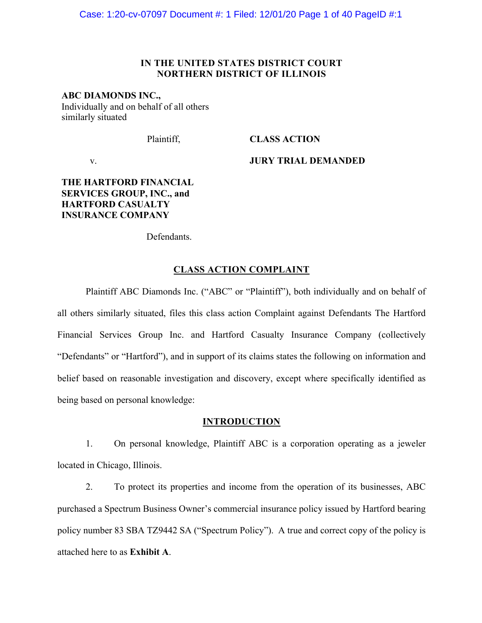# **IN THE UNITED STATES DISTRICT COURT NORTHERN DISTRICT OF ILLINOIS**

# **ABC DIAMONDS INC.,**

Individually and on behalf of all others similarly situated

Plaintiff,

# **CLASS ACTION**

v.

**JURY TRIAL DEMANDED**

# **THE HARTFORD FINANCIAL SERVICES GROUP, INC., and HARTFORD CASUALTY INSURANCE COMPANY**

Defendants.

## **CLASS ACTION COMPLAINT**

Plaintiff ABC Diamonds Inc. ("ABC" or "Plaintiff"), both individually and on behalf of all others similarly situated, files this class action Complaint against Defendants The Hartford Financial Services Group Inc. and Hartford Casualty Insurance Company (collectively "Defendants" or "Hartford"), and in support of its claims states the following on information and belief based on reasonable investigation and discovery, except where specifically identified as being based on personal knowledge:

### **INTRODUCTION**

1. On personal knowledge, Plaintiff ABC is a corporation operating as a jeweler located in Chicago, Illinois.

2. To protect its properties and income from the operation of its businesses, ABC purchased a Spectrum Business Owner's commercial insurance policy issued by Hartford bearing policy number 83 SBA TZ9442 SA ("Spectrum Policy"). A true and correct copy of the policy is attached here to as **Exhibit A**.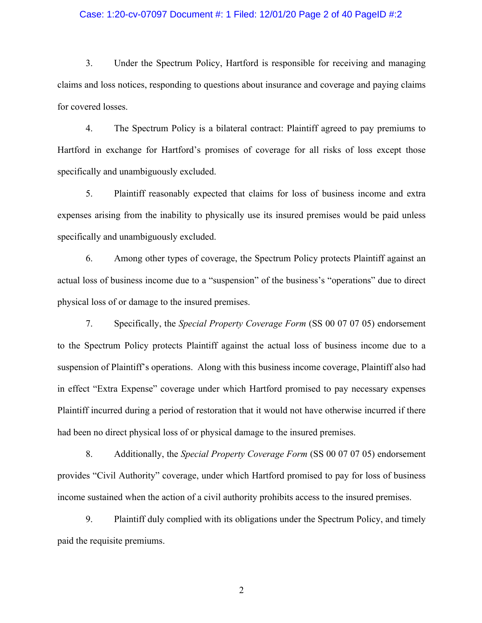### Case: 1:20-cv-07097 Document #: 1 Filed: 12/01/20 Page 2 of 40 PageID #:2

3. Under the Spectrum Policy, Hartford is responsible for receiving and managing claims and loss notices, responding to questions about insurance and coverage and paying claims for covered losses.

4. The Spectrum Policy is a bilateral contract: Plaintiff agreed to pay premiums to Hartford in exchange for Hartford's promises of coverage for all risks of loss except those specifically and unambiguously excluded.

5. Plaintiff reasonably expected that claims for loss of business income and extra expenses arising from the inability to physically use its insured premises would be paid unless specifically and unambiguously excluded.

6. Among other types of coverage, the Spectrum Policy protects Plaintiff against an actual loss of business income due to a "suspension" of the business's "operations" due to direct physical loss of or damage to the insured premises.

7. Specifically, the *Special Property Coverage Form* (SS 00 07 07 05) endorsement to the Spectrum Policy protects Plaintiff against the actual loss of business income due to a suspension of Plaintiff's operations. Along with this business income coverage, Plaintiff also had in effect "Extra Expense" coverage under which Hartford promised to pay necessary expenses Plaintiff incurred during a period of restoration that it would not have otherwise incurred if there had been no direct physical loss of or physical damage to the insured premises.

8. Additionally, the *Special Property Coverage Form* (SS 00 07 07 05) endorsement provides "Civil Authority" coverage, under which Hartford promised to pay for loss of business income sustained when the action of a civil authority prohibits access to the insured premises.

9. Plaintiff duly complied with its obligations under the Spectrum Policy, and timely paid the requisite premiums.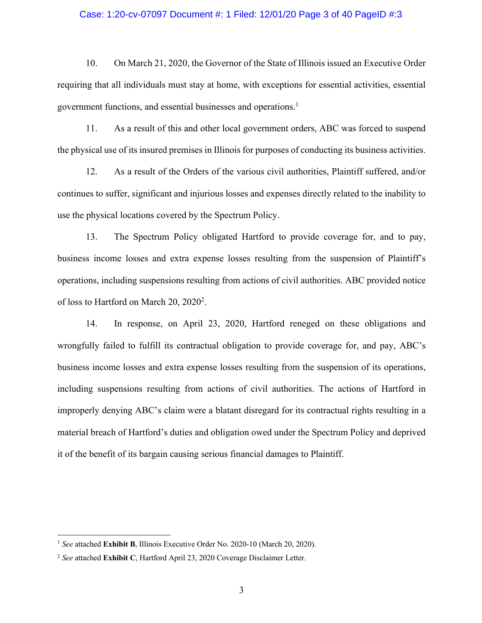### Case: 1:20-cv-07097 Document #: 1 Filed: 12/01/20 Page 3 of 40 PageID #:3

10. On March 21, 2020, the Governor of the State of Illinois issued an Executive Order requiring that all individuals must stay at home, with exceptions for essential activities, essential government functions, and essential businesses and operations.<sup>1</sup>

11. As a result of this and other local government orders, ABC was forced to suspend the physical use of its insured premises in Illinois for purposes of conducting its business activities.

12. As a result of the Orders of the various civil authorities, Plaintiff suffered, and/or continues to suffer, significant and injurious losses and expenses directly related to the inability to use the physical locations covered by the Spectrum Policy.

13. The Spectrum Policy obligated Hartford to provide coverage for, and to pay, business income losses and extra expense losses resulting from the suspension of Plaintiff's operations, including suspensions resulting from actions of civil authorities. ABC provided notice of loss to Hartford on March 20, 2020<sup>2</sup>.

14. In response, on April 23, 2020, Hartford reneged on these obligations and wrongfully failed to fulfill its contractual obligation to provide coverage for, and pay, ABC's business income losses and extra expense losses resulting from the suspension of its operations, including suspensions resulting from actions of civil authorities. The actions of Hartford in improperly denying ABC's claim were a blatant disregard for its contractual rights resulting in a material breach of Hartford's duties and obligation owed under the Spectrum Policy and deprived it of the benefit of its bargain causing serious financial damages to Plaintiff.

<sup>1</sup> *See* attached **Exhibit B**, Illinois Executive Order No. 2020-10 (March 20, 2020).

<sup>2</sup> *See* attached **Exhibit C**, Hartford April 23, 2020 Coverage Disclaimer Letter.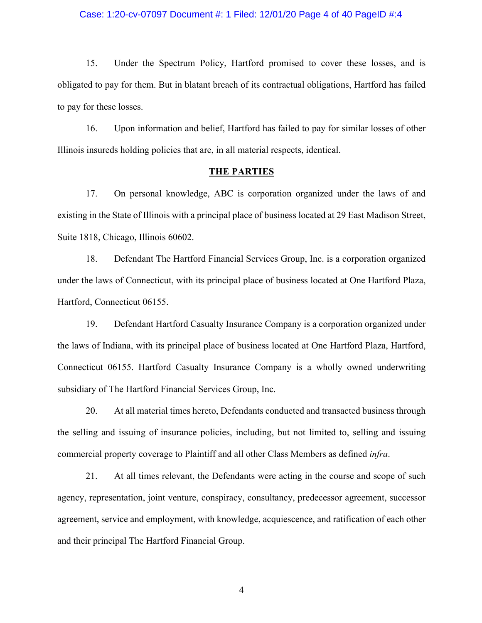### Case: 1:20-cv-07097 Document #: 1 Filed: 12/01/20 Page 4 of 40 PageID #:4

15. Under the Spectrum Policy, Hartford promised to cover these losses, and is obligated to pay for them. But in blatant breach of its contractual obligations, Hartford has failed to pay for these losses.

16. Upon information and belief, Hartford has failed to pay for similar losses of other Illinois insureds holding policies that are, in all material respects, identical.

#### **THE PARTIES**

17. On personal knowledge, ABC is corporation organized under the laws of and existing in the State of Illinois with a principal place of business located at 29 East Madison Street, Suite 1818, Chicago, Illinois 60602.

18. Defendant The Hartford Financial Services Group, Inc. is a corporation organized under the laws of Connecticut, with its principal place of business located at One Hartford Plaza, Hartford, Connecticut 06155.

19. Defendant Hartford Casualty Insurance Company is a corporation organized under the laws of Indiana, with its principal place of business located at One Hartford Plaza, Hartford, Connecticut 06155. Hartford Casualty Insurance Company is a wholly owned underwriting subsidiary of The Hartford Financial Services Group, Inc.

20. At all material times hereto, Defendants conducted and transacted business through the selling and issuing of insurance policies, including, but not limited to, selling and issuing commercial property coverage to Plaintiff and all other Class Members as defined *infra*.

21. At all times relevant, the Defendants were acting in the course and scope of such agency, representation, joint venture, conspiracy, consultancy, predecessor agreement, successor agreement, service and employment, with knowledge, acquiescence, and ratification of each other and their principal The Hartford Financial Group.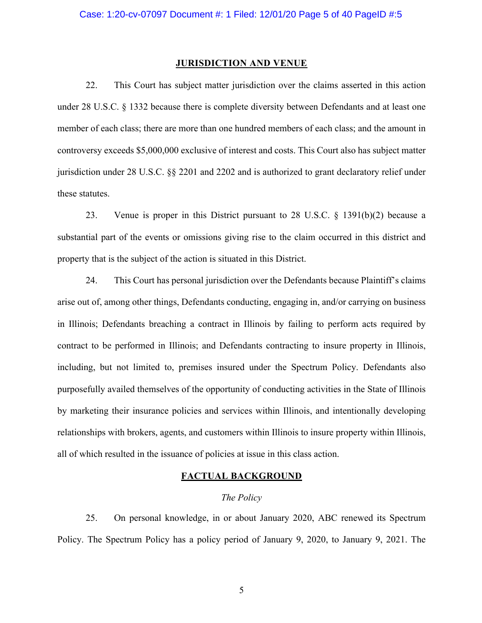#### **JURISDICTION AND VENUE**

22. This Court has subject matter jurisdiction over the claims asserted in this action under 28 U.S.C. § 1332 because there is complete diversity between Defendants and at least one member of each class; there are more than one hundred members of each class; and the amount in controversy exceeds \$5,000,000 exclusive of interest and costs. This Court also has subject matter jurisdiction under 28 U.S.C. §§ 2201 and 2202 and is authorized to grant declaratory relief under these statutes.

23. Venue is proper in this District pursuant to 28 U.S.C. § 1391(b)(2) because a substantial part of the events or omissions giving rise to the claim occurred in this district and property that is the subject of the action is situated in this District.

24. This Court has personal jurisdiction over the Defendants because Plaintiff's claims arise out of, among other things, Defendants conducting, engaging in, and/or carrying on business in Illinois; Defendants breaching a contract in Illinois by failing to perform acts required by contract to be performed in Illinois; and Defendants contracting to insure property in Illinois, including, but not limited to, premises insured under the Spectrum Policy. Defendants also purposefully availed themselves of the opportunity of conducting activities in the State of Illinois by marketing their insurance policies and services within Illinois, and intentionally developing relationships with brokers, agents, and customers within Illinois to insure property within Illinois, all of which resulted in the issuance of policies at issue in this class action.

### **FACTUAL BACKGROUND**

# *The Policy*

25. On personal knowledge, in or about January 2020, ABC renewed its Spectrum Policy. The Spectrum Policy has a policy period of January 9, 2020, to January 9, 2021. The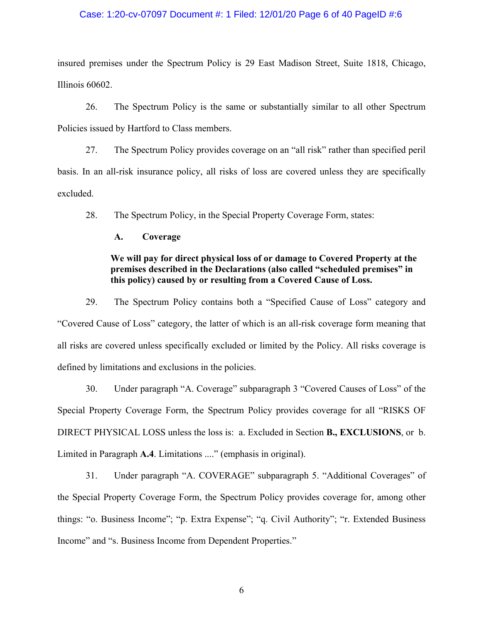### Case: 1:20-cv-07097 Document #: 1 Filed: 12/01/20 Page 6 of 40 PageID #:6

insured premises under the Spectrum Policy is 29 East Madison Street, Suite 1818, Chicago, Illinois 60602.

26. The Spectrum Policy is the same or substantially similar to all other Spectrum Policies issued by Hartford to Class members.

27. The Spectrum Policy provides coverage on an "all risk" rather than specified peril basis. In an all-risk insurance policy, all risks of loss are covered unless they are specifically excluded.

28. The Spectrum Policy, in the Special Property Coverage Form, states:

### **A. Coverage**

# **We will pay for direct physical loss of or damage to Covered Property at the premises described in the Declarations (also called "scheduled premises" in this policy) caused by or resulting from a Covered Cause of Loss.**

29. The Spectrum Policy contains both a "Specified Cause of Loss" category and "Covered Cause of Loss" category, the latter of which is an all-risk coverage form meaning that all risks are covered unless specifically excluded or limited by the Policy. All risks coverage is defined by limitations and exclusions in the policies.

30. Under paragraph "A. Coverage" subparagraph 3 "Covered Causes of Loss" of the Special Property Coverage Form, the Spectrum Policy provides coverage for all "RISKS OF DIRECT PHYSICAL LOSS unless the loss is: a. Excluded in Section **B., EXCLUSIONS**, or b. Limited in Paragraph **A.4**. Limitations ...." (emphasis in original).

31. Under paragraph "A. COVERAGE" subparagraph 5. "Additional Coverages" of the Special Property Coverage Form, the Spectrum Policy provides coverage for, among other things: "o. Business Income"; "p. Extra Expense"; "q. Civil Authority"; "r. Extended Business Income" and "s. Business Income from Dependent Properties."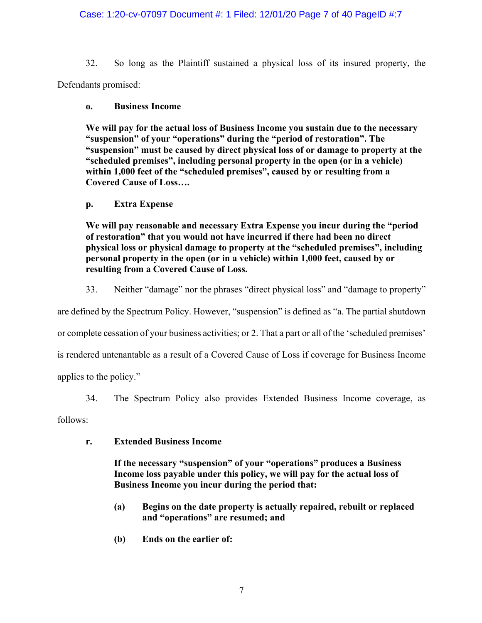# Case: 1:20-cv-07097 Document #: 1 Filed: 12/01/20 Page 7 of 40 PageID #:7

32. So long as the Plaintiff sustained a physical loss of its insured property, the Defendants promised:

# **o. Business Income**

**We will pay for the actual loss of Business Income you sustain due to the necessary "suspension" of your "operations" during the "period of restoration". The "suspension" must be caused by direct physical loss of or damage to property at the "scheduled premises", including personal property in the open (or in a vehicle) within 1,000 feet of the "scheduled premises", caused by or resulting from a Covered Cause of Loss….**

# **p. Extra Expense**

**We will pay reasonable and necessary Extra Expense you incur during the "period of restoration" that you would not have incurred if there had been no direct physical loss or physical damage to property at the "scheduled premises", including personal property in the open (or in a vehicle) within 1,000 feet, caused by or resulting from a Covered Cause of Loss.**

33. Neither "damage" nor the phrases "direct physical loss" and "damage to property"

are defined by the Spectrum Policy. However, "suspension" is defined as "a. The partial shutdown

or complete cessation of your business activities; or 2. That a part or all of the 'scheduled premises'

is rendered untenantable as a result of a Covered Cause of Loss if coverage for Business Income

applies to the policy."

34. The Spectrum Policy also provides Extended Business Income coverage, as

follows:

**r. Extended Business Income** 

**If the necessary "suspension" of your "operations" produces a Business Income loss payable under this policy, we will pay for the actual loss of Business Income you incur during the period that:** 

- **(a) Begins on the date property is actually repaired, rebuilt or replaced and "operations" are resumed; and**
- **(b) Ends on the earlier of:**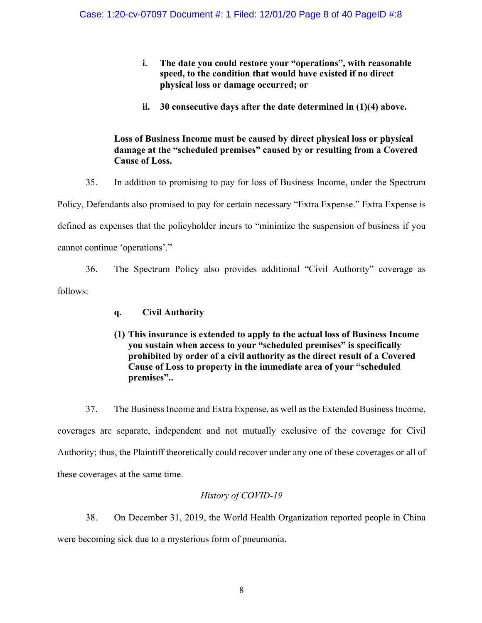- **i. The date you could restore your "operations", with reasonable speed, to the condition that would have existed if no direct physical loss or damage occurred; or**
- **ii. 30 consecutive days after the date determined in (1)(4) above.**

# **Loss of Business Income must be caused by direct physical loss or physical damage at the "scheduled premises" caused by or resulting from a Covered Cause of Loss.**

35. In addition to promising to pay for loss of Business Income, under the Spectrum Policy, Defendants also promised to pay for certain necessary "Extra Expense." Extra Expense is defined as expenses that the policyholder incurs to "minimize the suspension of business if you cannot continue 'operations'."

36. The Spectrum Policy also provides additional "Civil Authority" coverage as follows:

- **q. Civil Authority**
- **(1) This insurance is extended to apply to the actual loss of Business Income you sustain when access to your "scheduled premises" is specifically prohibited by order of a civil authority as the direct result of a Covered Cause of Loss to property in the immediate area of your "scheduled premises"..**

37. The Business Income and Extra Expense, as well as the Extended Business Income, coverages are separate, independent and not mutually exclusive of the coverage for Civil Authority; thus, the Plaintiff theoretically could recover under any one of these coverages or all of these coverages at the same time.

# *History of COVID-19*

38. On December 31, 2019, the World Health Organization reported people in China were becoming sick due to a mysterious form of pneumonia.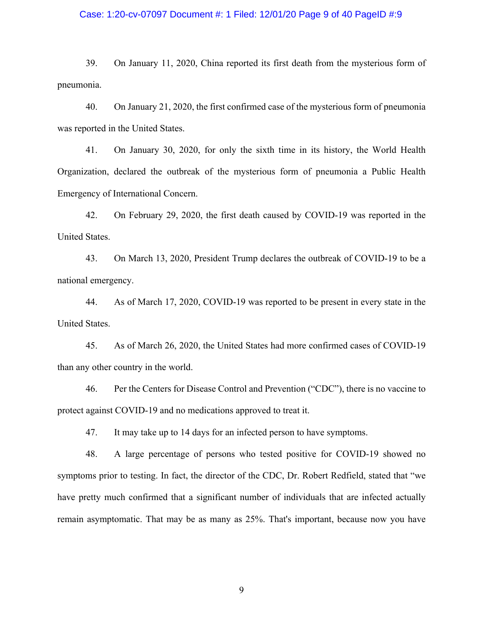### Case: 1:20-cv-07097 Document #: 1 Filed: 12/01/20 Page 9 of 40 PageID #:9

39. On January 11, 2020, China reported its first death from the mysterious form of pneumonia.

40. On January 21, 2020, the first confirmed case of the mysterious form of pneumonia was reported in the United States.

41. On January 30, 2020, for only the sixth time in its history, the World Health Organization, declared the outbreak of the mysterious form of pneumonia a Public Health Emergency of International Concern.

42. On February 29, 2020, the first death caused by COVID-19 was reported in the United States.

43. On March 13, 2020, President Trump declares the outbreak of COVID-19 to be a national emergency.

44. As of March 17, 2020, COVID-19 was reported to be present in every state in the United States.

45. As of March 26, 2020, the United States had more confirmed cases of COVID-19 than any other country in the world.

46. Per the Centers for Disease Control and Prevention ("CDC"), there is no vaccine to protect against COVID-19 and no medications approved to treat it.

47. It may take up to 14 days for an infected person to have symptoms.

48. A large percentage of persons who tested positive for COVID-19 showed no symptoms prior to testing. In fact, the director of the CDC, Dr. Robert Redfield, stated that "we have pretty much confirmed that a significant number of individuals that are infected actually remain asymptomatic. That may be as many as 25%. That's important, because now you have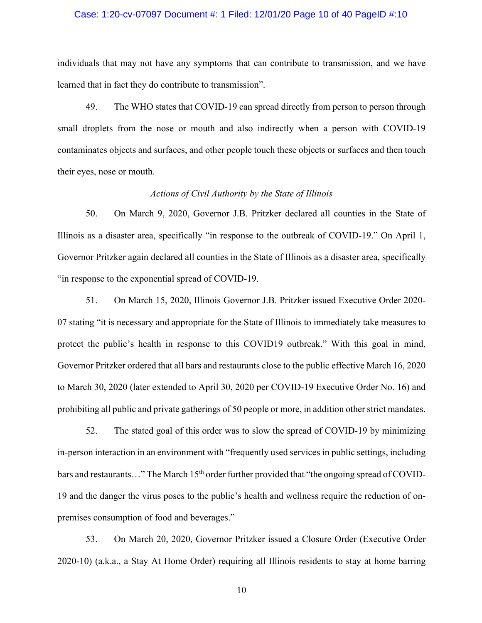### Case: 1:20-cv-07097 Document #: 1 Filed: 12/01/20 Page 10 of 40 PageID #:10

individuals that may not have any symptoms that can contribute to transmission, and we have learned that in fact they do contribute to transmission".

49. The WHO states that COVID-19 can spread directly from person to person through small droplets from the nose or mouth and also indirectly when a person with COVID-19 contaminates objects and surfaces, and other people touch these objects or surfaces and then touch their eyes, nose or mouth.

### *Actions of Civil Authority by the State of Illinois*

50. On March 9, 2020, Governor J.B. Pritzker declared all counties in the State of Illinois as a disaster area, specifically "in response to the outbreak of COVID-19." On April 1, Governor Pritzker again declared all counties in the State of Illinois as a disaster area, specifically "in response to the exponential spread of COVID-19.

51. On March 15, 2020, Illinois Governor J.B. Pritzker issued Executive Order 2020- 07 stating "it is necessary and appropriate for the State of Illinois to immediately take measures to protect the public's health in response to this COVID19 outbreak." With this goal in mind, Governor Pritzker ordered that all bars and restaurants close to the public effective March 16, 2020 to March 30, 2020 (later extended to April 30, 2020 per COVID-19 Executive Order No. 16) and prohibiting all public and private gatherings of 50 people or more, in addition other strict mandates.

52. The stated goal of this order was to slow the spread of COVID-19 by minimizing in-person interaction in an environment with "frequently used services in public settings, including bars and restaurants..." The March 15<sup>th</sup> order further provided that "the ongoing spread of COVID-19 and the danger the virus poses to the public's health and wellness require the reduction of onpremises consumption of food and beverages."

53. On March 20, 2020, Governor Pritzker issued a Closure Order (Executive Order 2020-10) (a.k.a., a Stay At Home Order) requiring all Illinois residents to stay at home barring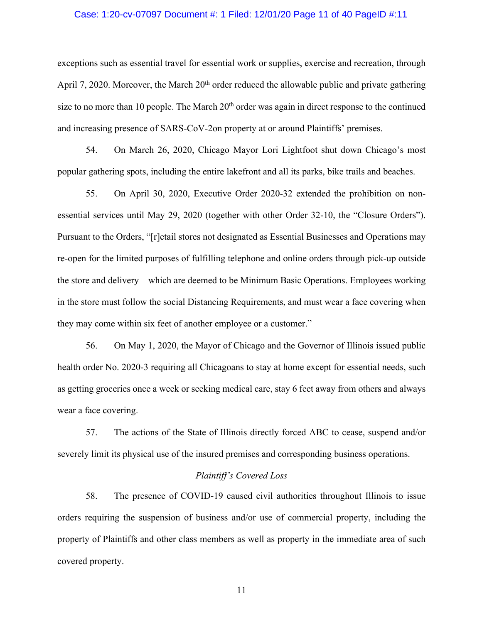### Case: 1:20-cv-07097 Document #: 1 Filed: 12/01/20 Page 11 of 40 PageID #:11

exceptions such as essential travel for essential work or supplies, exercise and recreation, through April 7, 2020. Moreover, the March  $20<sup>th</sup>$  order reduced the allowable public and private gathering size to no more than 10 people. The March  $20<sup>th</sup>$  order was again in direct response to the continued and increasing presence of SARS-CoV-2on property at or around Plaintiffs' premises.

54. On March 26, 2020, Chicago Mayor Lori Lightfoot shut down Chicago's most popular gathering spots, including the entire lakefront and all its parks, bike trails and beaches.

55. On April 30, 2020, Executive Order 2020-32 extended the prohibition on nonessential services until May 29, 2020 (together with other Order 32-10, the "Closure Orders"). Pursuant to the Orders, "[r]etail stores not designated as Essential Businesses and Operations may re-open for the limited purposes of fulfilling telephone and online orders through pick-up outside the store and delivery – which are deemed to be Minimum Basic Operations. Employees working in the store must follow the social Distancing Requirements, and must wear a face covering when they may come within six feet of another employee or a customer."

56. On May 1, 2020, the Mayor of Chicago and the Governor of Illinois issued public health order No. 2020-3 requiring all Chicagoans to stay at home except for essential needs, such as getting groceries once a week or seeking medical care, stay 6 feet away from others and always wear a face covering.

57. The actions of the State of Illinois directly forced ABC to cease, suspend and/or severely limit its physical use of the insured premises and corresponding business operations.

### *Plaintiff's Covered Loss*

58. The presence of COVID-19 caused civil authorities throughout Illinois to issue orders requiring the suspension of business and/or use of commercial property, including the property of Plaintiffs and other class members as well as property in the immediate area of such covered property.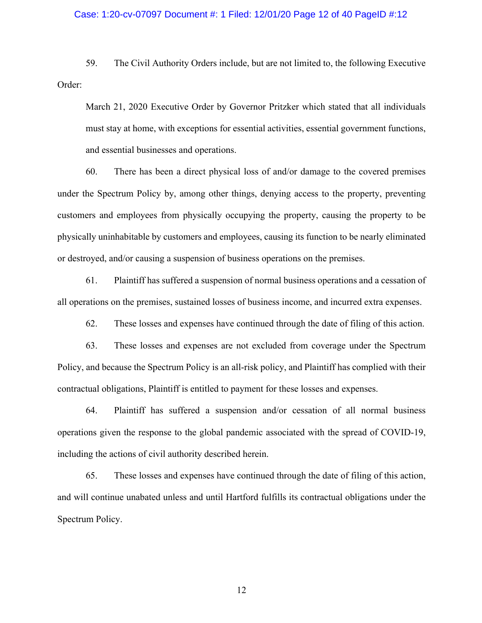### Case: 1:20-cv-07097 Document #: 1 Filed: 12/01/20 Page 12 of 40 PageID #:12

59. The Civil Authority Orders include, but are not limited to, the following Executive Order:

March 21, 2020 Executive Order by Governor Pritzker which stated that all individuals must stay at home, with exceptions for essential activities, essential government functions, and essential businesses and operations.

60. There has been a direct physical loss of and/or damage to the covered premises under the Spectrum Policy by, among other things, denying access to the property, preventing customers and employees from physically occupying the property, causing the property to be physically uninhabitable by customers and employees, causing its function to be nearly eliminated or destroyed, and/or causing a suspension of business operations on the premises.

61. Plaintiff has suffered a suspension of normal business operations and a cessation of all operations on the premises, sustained losses of business income, and incurred extra expenses.

62. These losses and expenses have continued through the date of filing of this action.

63. These losses and expenses are not excluded from coverage under the Spectrum Policy, and because the Spectrum Policy is an all-risk policy, and Plaintiff has complied with their contractual obligations, Plaintiff is entitled to payment for these losses and expenses.

64. Plaintiff has suffered a suspension and/or cessation of all normal business operations given the response to the global pandemic associated with the spread of COVID-19, including the actions of civil authority described herein.

65. These losses and expenses have continued through the date of filing of this action, and will continue unabated unless and until Hartford fulfills its contractual obligations under the Spectrum Policy.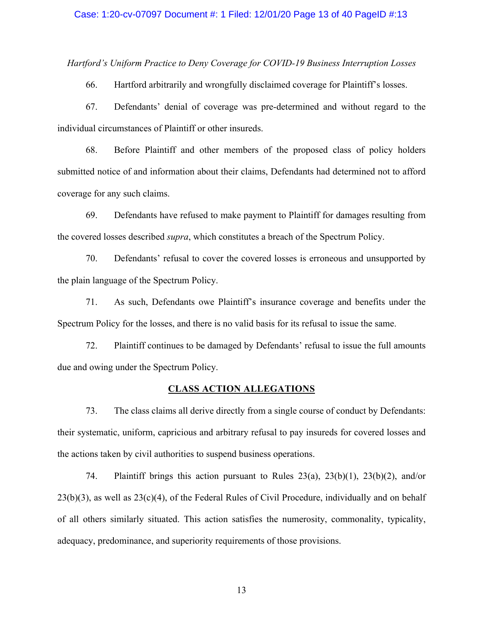*Hartford's Uniform Practice to Deny Coverage for COVID-19 Business Interruption Losses*

66. Hartford arbitrarily and wrongfully disclaimed coverage for Plaintiff's losses.

67. Defendants' denial of coverage was pre-determined and without regard to the individual circumstances of Plaintiff or other insureds.

68. Before Plaintiff and other members of the proposed class of policy holders submitted notice of and information about their claims, Defendants had determined not to afford coverage for any such claims.

69. Defendants have refused to make payment to Plaintiff for damages resulting from the covered losses described *supra*, which constitutes a breach of the Spectrum Policy.

70. Defendants' refusal to cover the covered losses is erroneous and unsupported by the plain language of the Spectrum Policy.

71. As such, Defendants owe Plaintiff's insurance coverage and benefits under the Spectrum Policy for the losses, and there is no valid basis for its refusal to issue the same.

72. Plaintiff continues to be damaged by Defendants' refusal to issue the full amounts due and owing under the Spectrum Policy.

### **CLASS ACTION ALLEGATIONS**

73. The class claims all derive directly from a single course of conduct by Defendants: their systematic, uniform, capricious and arbitrary refusal to pay insureds for covered losses and the actions taken by civil authorities to suspend business operations.

74. Plaintiff brings this action pursuant to Rules 23(a), 23(b)(1), 23(b)(2), and/or  $23(b)(3)$ , as well as  $23(c)(4)$ , of the Federal Rules of Civil Procedure, individually and on behalf of all others similarly situated. This action satisfies the numerosity, commonality, typicality, adequacy, predominance, and superiority requirements of those provisions.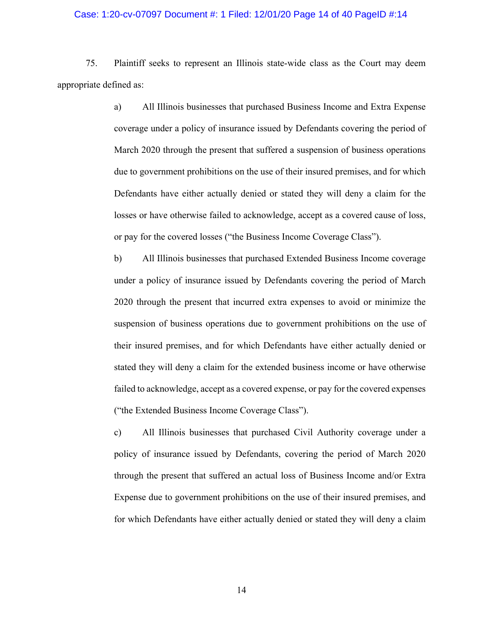#### Case: 1:20-cv-07097 Document #: 1 Filed: 12/01/20 Page 14 of 40 PageID #:14

75. Plaintiff seeks to represent an Illinois state-wide class as the Court may deem appropriate defined as:

> a) All Illinois businesses that purchased Business Income and Extra Expense coverage under a policy of insurance issued by Defendants covering the period of March 2020 through the present that suffered a suspension of business operations due to government prohibitions on the use of their insured premises, and for which Defendants have either actually denied or stated they will deny a claim for the losses or have otherwise failed to acknowledge, accept as a covered cause of loss, or pay for the covered losses ("the Business Income Coverage Class").

> b) All Illinois businesses that purchased Extended Business Income coverage under a policy of insurance issued by Defendants covering the period of March 2020 through the present that incurred extra expenses to avoid or minimize the suspension of business operations due to government prohibitions on the use of their insured premises, and for which Defendants have either actually denied or stated they will deny a claim for the extended business income or have otherwise failed to acknowledge, accept as a covered expense, or pay for the covered expenses ("the Extended Business Income Coverage Class").

> c) All Illinois businesses that purchased Civil Authority coverage under a policy of insurance issued by Defendants, covering the period of March 2020 through the present that suffered an actual loss of Business Income and/or Extra Expense due to government prohibitions on the use of their insured premises, and for which Defendants have either actually denied or stated they will deny a claim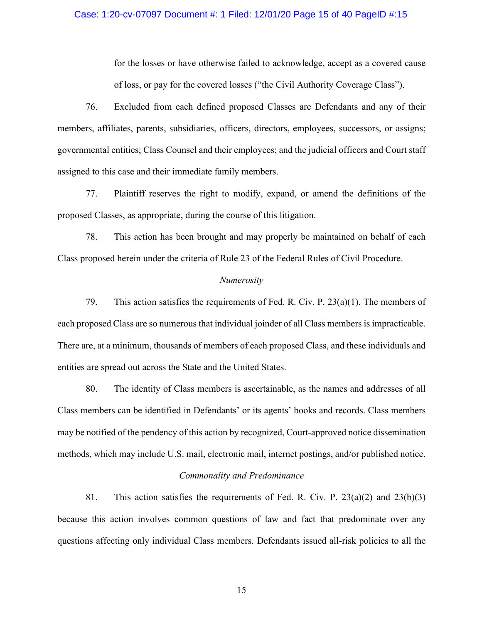### Case: 1:20-cv-07097 Document #: 1 Filed: 12/01/20 Page 15 of 40 PageID #:15

for the losses or have otherwise failed to acknowledge, accept as a covered cause of loss, or pay for the covered losses ("the Civil Authority Coverage Class").

76. Excluded from each defined proposed Classes are Defendants and any of their members, affiliates, parents, subsidiaries, officers, directors, employees, successors, or assigns; governmental entities; Class Counsel and their employees; and the judicial officers and Court staff assigned to this case and their immediate family members.

77. Plaintiff reserves the right to modify, expand, or amend the definitions of the proposed Classes, as appropriate, during the course of this litigation.

78. This action has been brought and may properly be maintained on behalf of each Class proposed herein under the criteria of Rule 23 of the Federal Rules of Civil Procedure.

#### *Numerosity*

79. This action satisfies the requirements of Fed. R. Civ. P. 23(a)(1). The members of each proposed Class are so numerous that individual joinder of all Class members is impracticable. There are, at a minimum, thousands of members of each proposed Class, and these individuals and entities are spread out across the State and the United States.

80. The identity of Class members is ascertainable, as the names and addresses of all Class members can be identified in Defendants' or its agents' books and records. Class members may be notified of the pendency of this action by recognized, Court-approved notice dissemination methods, which may include U.S. mail, electronic mail, internet postings, and/or published notice.

### *Commonality and Predominance*

81. This action satisfies the requirements of Fed. R. Civ. P. 23(a)(2) and 23(b)(3) because this action involves common questions of law and fact that predominate over any questions affecting only individual Class members. Defendants issued all-risk policies to all the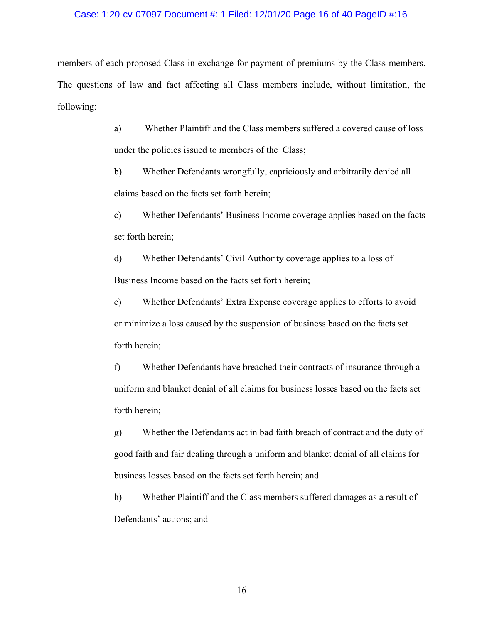#### Case: 1:20-cv-07097 Document #: 1 Filed: 12/01/20 Page 16 of 40 PageID #:16

members of each proposed Class in exchange for payment of premiums by the Class members. The questions of law and fact affecting all Class members include, without limitation, the following:

> a) Whether Plaintiff and the Class members suffered a covered cause of loss under the policies issued to members of the Class;

b) Whether Defendants wrongfully, capriciously and arbitrarily denied all claims based on the facts set forth herein;

c) Whether Defendants' Business Income coverage applies based on the facts set forth herein;

d) Whether Defendants' Civil Authority coverage applies to a loss of Business Income based on the facts set forth herein;

e) Whether Defendants' Extra Expense coverage applies to efforts to avoid or minimize a loss caused by the suspension of business based on the facts set forth herein;

f) Whether Defendants have breached their contracts of insurance through a uniform and blanket denial of all claims for business losses based on the facts set forth herein;

g) Whether the Defendants act in bad faith breach of contract and the duty of good faith and fair dealing through a uniform and blanket denial of all claims for business losses based on the facts set forth herein; and

h) Whether Plaintiff and the Class members suffered damages as a result of Defendants' actions; and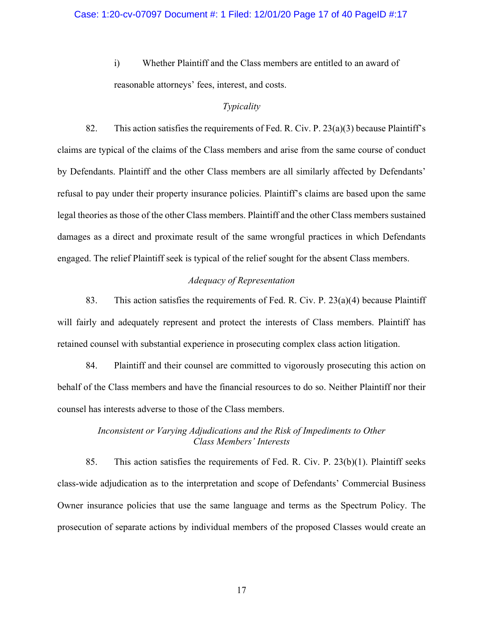i) Whether Plaintiff and the Class members are entitled to an award of reasonable attorneys' fees, interest, and costs.

## *Typicality*

82. This action satisfies the requirements of Fed. R. Civ. P.  $23(a)(3)$  because Plaintiff's claims are typical of the claims of the Class members and arise from the same course of conduct by Defendants. Plaintiff and the other Class members are all similarly affected by Defendants' refusal to pay under their property insurance policies. Plaintiff's claims are based upon the same legal theories as those of the other Class members. Plaintiff and the other Class members sustained damages as a direct and proximate result of the same wrongful practices in which Defendants engaged. The relief Plaintiff seek is typical of the relief sought for the absent Class members.

# *Adequacy of Representation*

83. This action satisfies the requirements of Fed. R. Civ. P. 23(a)(4) because Plaintiff will fairly and adequately represent and protect the interests of Class members. Plaintiff has retained counsel with substantial experience in prosecuting complex class action litigation.

84. Plaintiff and their counsel are committed to vigorously prosecuting this action on behalf of the Class members and have the financial resources to do so. Neither Plaintiff nor their counsel has interests adverse to those of the Class members.

# *Inconsistent or Varying Adjudications and the Risk of Impediments to Other Class Members' Interests*

85. This action satisfies the requirements of Fed. R. Civ. P. 23(b)(1). Plaintiff seeks class-wide adjudication as to the interpretation and scope of Defendants' Commercial Business Owner insurance policies that use the same language and terms as the Spectrum Policy. The prosecution of separate actions by individual members of the proposed Classes would create an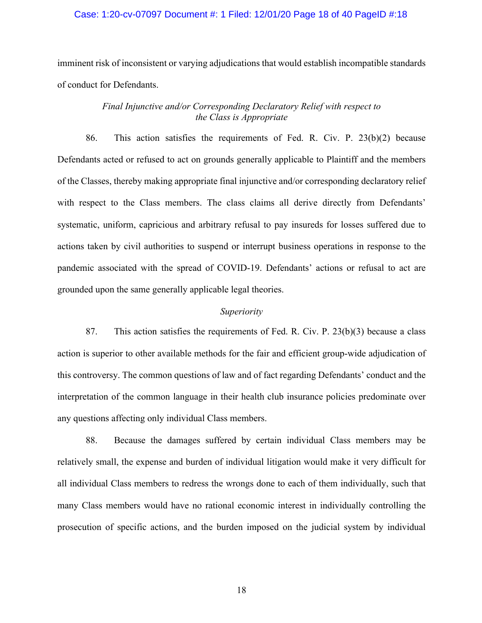### Case: 1:20-cv-07097 Document #: 1 Filed: 12/01/20 Page 18 of 40 PageID #:18

imminent risk of inconsistent or varying adjudications that would establish incompatible standards of conduct for Defendants.

# *Final Injunctive and/or Corresponding Declaratory Relief with respect to the Class is Appropriate*

86. This action satisfies the requirements of Fed. R. Civ. P. 23(b)(2) because Defendants acted or refused to act on grounds generally applicable to Plaintiff and the members of the Classes, thereby making appropriate final injunctive and/or corresponding declaratory relief with respect to the Class members. The class claims all derive directly from Defendants' systematic, uniform, capricious and arbitrary refusal to pay insureds for losses suffered due to actions taken by civil authorities to suspend or interrupt business operations in response to the pandemic associated with the spread of COVID-19. Defendants' actions or refusal to act are grounded upon the same generally applicable legal theories.

### *Superiority*

87. This action satisfies the requirements of Fed. R. Civ. P. 23(b)(3) because a class action is superior to other available methods for the fair and efficient group-wide adjudication of this controversy. The common questions of law and of fact regarding Defendants' conduct and the interpretation of the common language in their health club insurance policies predominate over any questions affecting only individual Class members.

88. Because the damages suffered by certain individual Class members may be relatively small, the expense and burden of individual litigation would make it very difficult for all individual Class members to redress the wrongs done to each of them individually, such that many Class members would have no rational economic interest in individually controlling the prosecution of specific actions, and the burden imposed on the judicial system by individual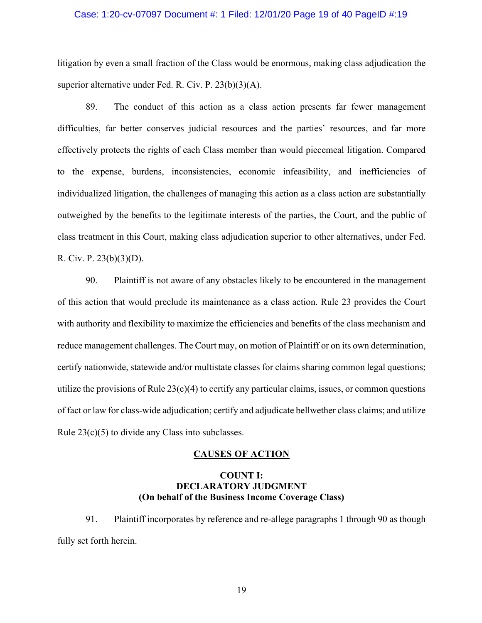### Case: 1:20-cv-07097 Document #: 1 Filed: 12/01/20 Page 19 of 40 PageID #:19

litigation by even a small fraction of the Class would be enormous, making class adjudication the superior alternative under Fed. R. Civ. P. 23(b)(3)(A).

89. The conduct of this action as a class action presents far fewer management difficulties, far better conserves judicial resources and the parties' resources, and far more effectively protects the rights of each Class member than would piecemeal litigation. Compared to the expense, burdens, inconsistencies, economic infeasibility, and inefficiencies of individualized litigation, the challenges of managing this action as a class action are substantially outweighed by the benefits to the legitimate interests of the parties, the Court, and the public of class treatment in this Court, making class adjudication superior to other alternatives, under Fed. R. Civ. P. 23(b)(3)(D).

90. Plaintiff is not aware of any obstacles likely to be encountered in the management of this action that would preclude its maintenance as a class action. Rule 23 provides the Court with authority and flexibility to maximize the efficiencies and benefits of the class mechanism and reduce management challenges. The Court may, on motion of Plaintiff or on its own determination, certify nationwide, statewide and/or multistate classes for claims sharing common legal questions; utilize the provisions of Rule  $23(c)(4)$  to certify any particular claims, issues, or common questions of fact or law for class-wide adjudication; certify and adjudicate bellwether class claims; and utilize Rule 23(c)(5) to divide any Class into subclasses.

### **CAUSES OF ACTION**

# **COUNT I: DECLARATORY JUDGMENT (On behalf of the Business Income Coverage Class)**

91. Plaintiff incorporates by reference and re-allege paragraphs 1 through 90 as though fully set forth herein.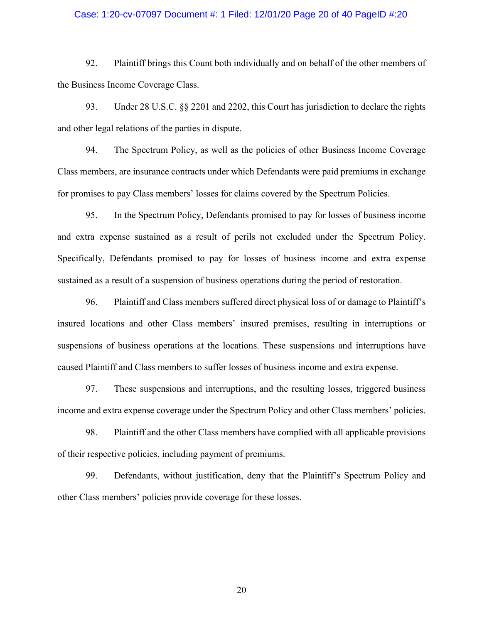### Case: 1:20-cv-07097 Document #: 1 Filed: 12/01/20 Page 20 of 40 PageID #:20

92. Plaintiff brings this Count both individually and on behalf of the other members of the Business Income Coverage Class.

93. Under 28 U.S.C. §§ 2201 and 2202, this Court has jurisdiction to declare the rights and other legal relations of the parties in dispute.

94. The Spectrum Policy, as well as the policies of other Business Income Coverage Class members, are insurance contracts under which Defendants were paid premiums in exchange for promises to pay Class members' losses for claims covered by the Spectrum Policies.

95. In the Spectrum Policy, Defendants promised to pay for losses of business income and extra expense sustained as a result of perils not excluded under the Spectrum Policy. Specifically, Defendants promised to pay for losses of business income and extra expense sustained as a result of a suspension of business operations during the period of restoration.

96. Plaintiff and Class members suffered direct physical loss of or damage to Plaintiff's insured locations and other Class members' insured premises, resulting in interruptions or suspensions of business operations at the locations. These suspensions and interruptions have caused Plaintiff and Class members to suffer losses of business income and extra expense.

97. These suspensions and interruptions, and the resulting losses, triggered business income and extra expense coverage under the Spectrum Policy and other Class members' policies.

98. Plaintiff and the other Class members have complied with all applicable provisions of their respective policies, including payment of premiums.

99. Defendants, without justification, deny that the Plaintiff's Spectrum Policy and other Class members' policies provide coverage for these losses.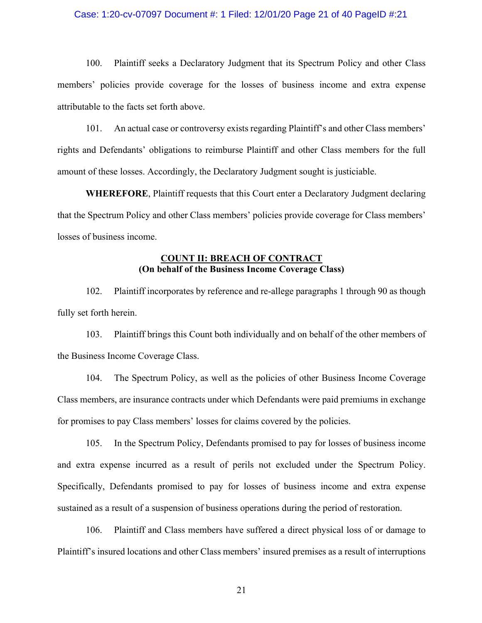### Case: 1:20-cv-07097 Document #: 1 Filed: 12/01/20 Page 21 of 40 PageID #:21

100. Plaintiff seeks a Declaratory Judgment that its Spectrum Policy and other Class members' policies provide coverage for the losses of business income and extra expense attributable to the facts set forth above.

101. An actual case or controversy exists regarding Plaintiff's and other Class members' rights and Defendants' obligations to reimburse Plaintiff and other Class members for the full amount of these losses. Accordingly, the Declaratory Judgment sought is justiciable.

**WHEREFORE**, Plaintiff requests that this Court enter a Declaratory Judgment declaring that the Spectrum Policy and other Class members' policies provide coverage for Class members' losses of business income.

# **COUNT II: BREACH OF CONTRACT (On behalf of the Business Income Coverage Class)**

102. Plaintiff incorporates by reference and re-allege paragraphs 1 through 90 as though fully set forth herein.

103. Plaintiff brings this Count both individually and on behalf of the other members of the Business Income Coverage Class.

104. The Spectrum Policy, as well as the policies of other Business Income Coverage Class members, are insurance contracts under which Defendants were paid premiums in exchange for promises to pay Class members' losses for claims covered by the policies.

105. In the Spectrum Policy, Defendants promised to pay for losses of business income and extra expense incurred as a result of perils not excluded under the Spectrum Policy. Specifically, Defendants promised to pay for losses of business income and extra expense sustained as a result of a suspension of business operations during the period of restoration.

106. Plaintiff and Class members have suffered a direct physical loss of or damage to Plaintiff's insured locations and other Class members' insured premises as a result of interruptions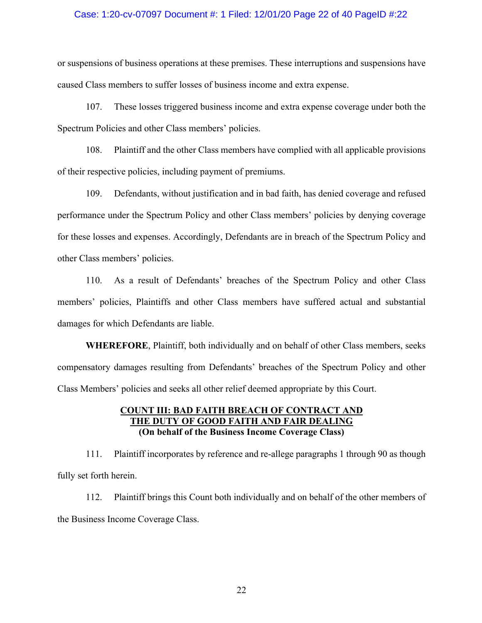### Case: 1:20-cv-07097 Document #: 1 Filed: 12/01/20 Page 22 of 40 PageID #:22

or suspensions of business operations at these premises. These interruptions and suspensions have caused Class members to suffer losses of business income and extra expense.

107. These losses triggered business income and extra expense coverage under both the Spectrum Policies and other Class members' policies.

108. Plaintiff and the other Class members have complied with all applicable provisions of their respective policies, including payment of premiums.

109. Defendants, without justification and in bad faith, has denied coverage and refused performance under the Spectrum Policy and other Class members' policies by denying coverage for these losses and expenses. Accordingly, Defendants are in breach of the Spectrum Policy and other Class members' policies.

110. As a result of Defendants' breaches of the Spectrum Policy and other Class members' policies, Plaintiffs and other Class members have suffered actual and substantial damages for which Defendants are liable.

**WHEREFORE**, Plaintiff, both individually and on behalf of other Class members, seeks compensatory damages resulting from Defendants' breaches of the Spectrum Policy and other Class Members' policies and seeks all other relief deemed appropriate by this Court.

# **COUNT III: BAD FAITH BREACH OF CONTRACT AND THE DUTY OF GOOD FAITH AND FAIR DEALING (On behalf of the Business Income Coverage Class)**

111. Plaintiff incorporates by reference and re-allege paragraphs 1 through 90 as though fully set forth herein.

112. Plaintiff brings this Count both individually and on behalf of the other members of the Business Income Coverage Class.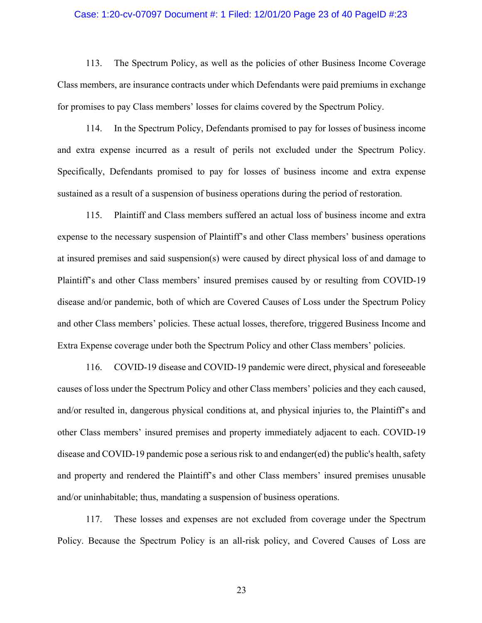#### Case: 1:20-cv-07097 Document #: 1 Filed: 12/01/20 Page 23 of 40 PageID #:23

113. The Spectrum Policy, as well as the policies of other Business Income Coverage Class members, are insurance contracts under which Defendants were paid premiums in exchange for promises to pay Class members' losses for claims covered by the Spectrum Policy.

114. In the Spectrum Policy, Defendants promised to pay for losses of business income and extra expense incurred as a result of perils not excluded under the Spectrum Policy. Specifically, Defendants promised to pay for losses of business income and extra expense sustained as a result of a suspension of business operations during the period of restoration.

115. Plaintiff and Class members suffered an actual loss of business income and extra expense to the necessary suspension of Plaintiff's and other Class members' business operations at insured premises and said suspension(s) were caused by direct physical loss of and damage to Plaintiff's and other Class members' insured premises caused by or resulting from COVID-19 disease and/or pandemic, both of which are Covered Causes of Loss under the Spectrum Policy and other Class members' policies. These actual losses, therefore, triggered Business Income and Extra Expense coverage under both the Spectrum Policy and other Class members' policies.

116. COVID-19 disease and COVID-19 pandemic were direct, physical and foreseeable causes of loss under the Spectrum Policy and other Class members' policies and they each caused, and/or resulted in, dangerous physical conditions at, and physical injuries to, the Plaintiff's and other Class members' insured premises and property immediately adjacent to each. COVID-19 disease and COVID-19 pandemic pose a serious risk to and endanger(ed) the public's health, safety and property and rendered the Plaintiff's and other Class members' insured premises unusable and/or uninhabitable; thus, mandating a suspension of business operations.

117. These losses and expenses are not excluded from coverage under the Spectrum Policy. Because the Spectrum Policy is an all-risk policy, and Covered Causes of Loss are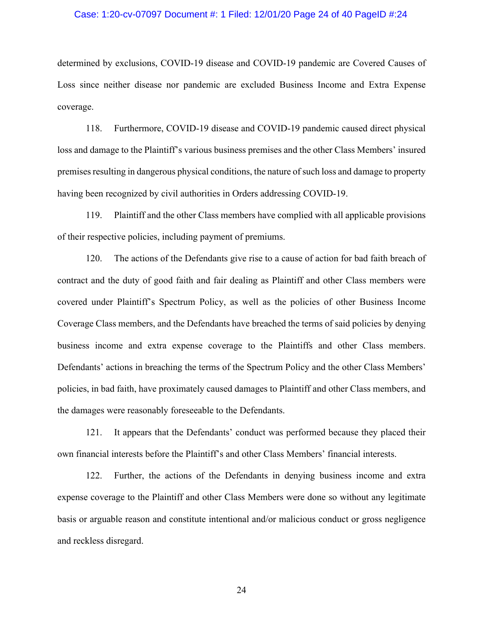#### Case: 1:20-cv-07097 Document #: 1 Filed: 12/01/20 Page 24 of 40 PageID #:24

determined by exclusions, COVID-19 disease and COVID-19 pandemic are Covered Causes of Loss since neither disease nor pandemic are excluded Business Income and Extra Expense coverage.

118. Furthermore, COVID-19 disease and COVID-19 pandemic caused direct physical loss and damage to the Plaintiff's various business premises and the other Class Members' insured premises resulting in dangerous physical conditions, the nature of such loss and damage to property having been recognized by civil authorities in Orders addressing COVID-19.

119. Plaintiff and the other Class members have complied with all applicable provisions of their respective policies, including payment of premiums.

120. The actions of the Defendants give rise to a cause of action for bad faith breach of contract and the duty of good faith and fair dealing as Plaintiff and other Class members were covered under Plaintiff's Spectrum Policy, as well as the policies of other Business Income Coverage Class members, and the Defendants have breached the terms of said policies by denying business income and extra expense coverage to the Plaintiffs and other Class members. Defendants' actions in breaching the terms of the Spectrum Policy and the other Class Members' policies, in bad faith, have proximately caused damages to Plaintiff and other Class members, and the damages were reasonably foreseeable to the Defendants.

121. It appears that the Defendants' conduct was performed because they placed their own financial interests before the Plaintiff's and other Class Members' financial interests.

122. Further, the actions of the Defendants in denying business income and extra expense coverage to the Plaintiff and other Class Members were done so without any legitimate basis or arguable reason and constitute intentional and/or malicious conduct or gross negligence and reckless disregard.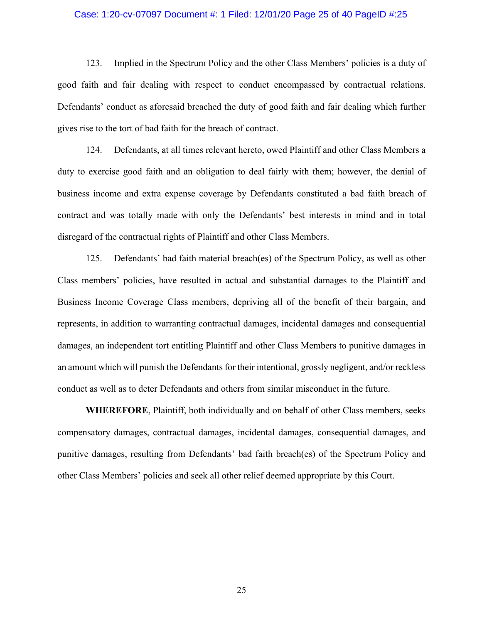#### Case: 1:20-cv-07097 Document #: 1 Filed: 12/01/20 Page 25 of 40 PageID #:25

123. Implied in the Spectrum Policy and the other Class Members' policies is a duty of good faith and fair dealing with respect to conduct encompassed by contractual relations. Defendants' conduct as aforesaid breached the duty of good faith and fair dealing which further gives rise to the tort of bad faith for the breach of contract.

124. Defendants, at all times relevant hereto, owed Plaintiff and other Class Members a duty to exercise good faith and an obligation to deal fairly with them; however, the denial of business income and extra expense coverage by Defendants constituted a bad faith breach of contract and was totally made with only the Defendants' best interests in mind and in total disregard of the contractual rights of Plaintiff and other Class Members.

125. Defendants' bad faith material breach(es) of the Spectrum Policy, as well as other Class members' policies, have resulted in actual and substantial damages to the Plaintiff and Business Income Coverage Class members, depriving all of the benefit of their bargain, and represents, in addition to warranting contractual damages, incidental damages and consequential damages, an independent tort entitling Plaintiff and other Class Members to punitive damages in an amount which will punish the Defendants for their intentional, grossly negligent, and/or reckless conduct as well as to deter Defendants and others from similar misconduct in the future.

**WHEREFORE**, Plaintiff, both individually and on behalf of other Class members, seeks compensatory damages, contractual damages, incidental damages, consequential damages, and punitive damages, resulting from Defendants' bad faith breach(es) of the Spectrum Policy and other Class Members' policies and seek all other relief deemed appropriate by this Court.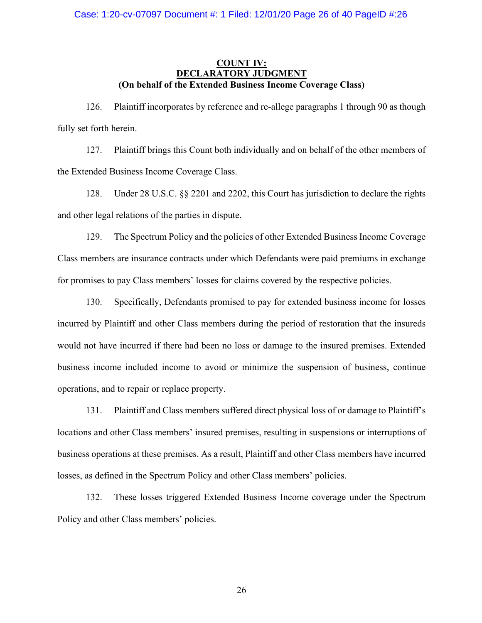# **COUNT IV: DECLARATORY JUDGMENT (On behalf of the Extended Business Income Coverage Class)**

126. Plaintiff incorporates by reference and re-allege paragraphs 1 through 90 as though fully set forth herein.

127. Plaintiff brings this Count both individually and on behalf of the other members of the Extended Business Income Coverage Class.

128. Under 28 U.S.C. §§ 2201 and 2202, this Court has jurisdiction to declare the rights and other legal relations of the parties in dispute.

129. The Spectrum Policy and the policies of other Extended Business Income Coverage Class members are insurance contracts under which Defendants were paid premiums in exchange for promises to pay Class members' losses for claims covered by the respective policies.

130. Specifically, Defendants promised to pay for extended business income for losses incurred by Plaintiff and other Class members during the period of restoration that the insureds would not have incurred if there had been no loss or damage to the insured premises. Extended business income included income to avoid or minimize the suspension of business, continue operations, and to repair or replace property.

131. Plaintiff and Class members suffered direct physical loss of or damage to Plaintiff's locations and other Class members' insured premises, resulting in suspensions or interruptions of business operations at these premises. As a result, Plaintiff and other Class members have incurred losses, as defined in the Spectrum Policy and other Class members' policies.

132. These losses triggered Extended Business Income coverage under the Spectrum Policy and other Class members' policies.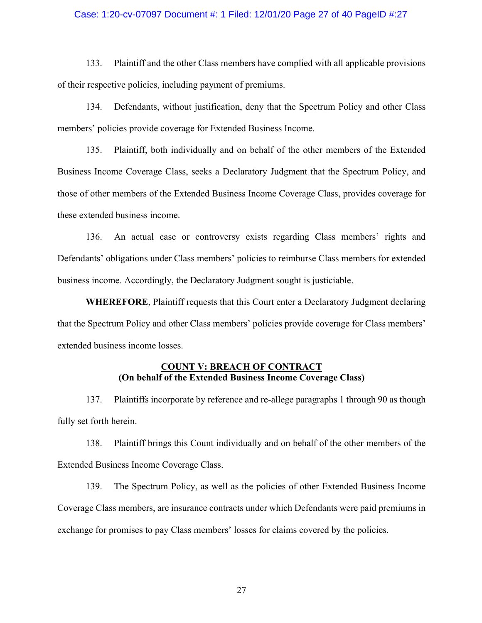### Case: 1:20-cv-07097 Document #: 1 Filed: 12/01/20 Page 27 of 40 PageID #:27

133. Plaintiff and the other Class members have complied with all applicable provisions of their respective policies, including payment of premiums.

134. Defendants, without justification, deny that the Spectrum Policy and other Class members' policies provide coverage for Extended Business Income.

135. Plaintiff, both individually and on behalf of the other members of the Extended Business Income Coverage Class, seeks a Declaratory Judgment that the Spectrum Policy, and those of other members of the Extended Business Income Coverage Class, provides coverage for these extended business income.

136. An actual case or controversy exists regarding Class members' rights and Defendants' obligations under Class members' policies to reimburse Class members for extended business income. Accordingly, the Declaratory Judgment sought is justiciable.

**WHEREFORE**, Plaintiff requests that this Court enter a Declaratory Judgment declaring that the Spectrum Policy and other Class members' policies provide coverage for Class members' extended business income losses.

# **COUNT V: BREACH OF CONTRACT (On behalf of the Extended Business Income Coverage Class)**

137. Plaintiffs incorporate by reference and re-allege paragraphs 1 through 90 as though fully set forth herein.

138. Plaintiff brings this Count individually and on behalf of the other members of the Extended Business Income Coverage Class.

139. The Spectrum Policy, as well as the policies of other Extended Business Income Coverage Class members, are insurance contracts under which Defendants were paid premiums in exchange for promises to pay Class members' losses for claims covered by the policies.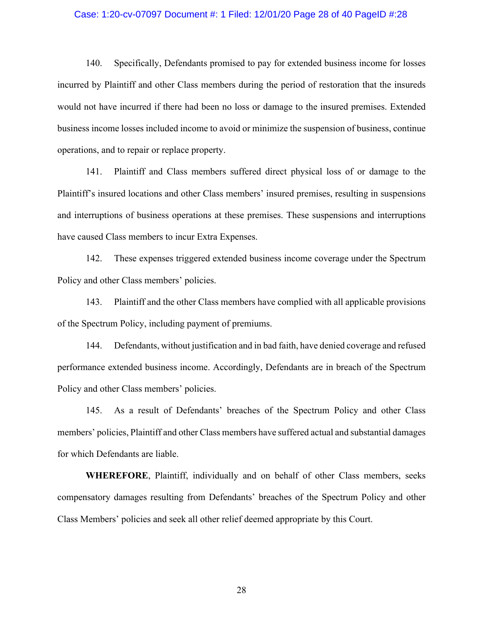#### Case: 1:20-cv-07097 Document #: 1 Filed: 12/01/20 Page 28 of 40 PageID #:28

140. Specifically, Defendants promised to pay for extended business income for losses incurred by Plaintiff and other Class members during the period of restoration that the insureds would not have incurred if there had been no loss or damage to the insured premises. Extended business income losses included income to avoid or minimize the suspension of business, continue operations, and to repair or replace property.

141. Plaintiff and Class members suffered direct physical loss of or damage to the Plaintiff's insured locations and other Class members' insured premises, resulting in suspensions and interruptions of business operations at these premises. These suspensions and interruptions have caused Class members to incur Extra Expenses.

142. These expenses triggered extended business income coverage under the Spectrum Policy and other Class members' policies.

143. Plaintiff and the other Class members have complied with all applicable provisions of the Spectrum Policy, including payment of premiums.

144. Defendants, without justification and in bad faith, have denied coverage and refused performance extended business income. Accordingly, Defendants are in breach of the Spectrum Policy and other Class members' policies.

145. As a result of Defendants' breaches of the Spectrum Policy and other Class members' policies, Plaintiff and other Class members have suffered actual and substantial damages for which Defendants are liable.

**WHEREFORE**, Plaintiff, individually and on behalf of other Class members, seeks compensatory damages resulting from Defendants' breaches of the Spectrum Policy and other Class Members' policies and seek all other relief deemed appropriate by this Court.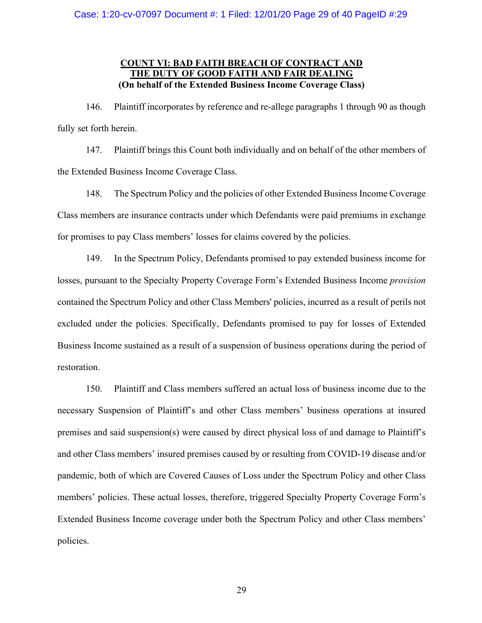# **COUNT VI: BAD FAITH BREACH OF CONTRACT AND THE DUTY OF GOOD FAITH AND FAIR DEALING (On behalf of the Extended Business Income Coverage Class)**

146. Plaintiff incorporates by reference and re-allege paragraphs 1 through 90 as though fully set forth herein.

147. Plaintiff brings this Count both individually and on behalf of the other members of the Extended Business Income Coverage Class.

148. The Spectrum Policy and the policies of other Extended Business Income Coverage Class members are insurance contracts under which Defendants were paid premiums in exchange for promises to pay Class members' losses for claims covered by the policies.

149. In the Spectrum Policy, Defendants promised to pay extended business income for losses, pursuant to the Specialty Property Coverage Form's Extended Business Income *provision* contained the Spectrum Policy and other Class Members' policies, incurred as a result of perils not excluded under the policies. Specifically, Defendants promised to pay for losses of Extended Business Income sustained as a result of a suspension of business operations during the period of restoration.

150. Plaintiff and Class members suffered an actual loss of business income due to the necessary Suspension of Plaintiff's and other Class members' business operations at insured premises and said suspension(s) were caused by direct physical loss of and damage to Plaintiff's and other Class members' insured premises caused by or resulting from COVID-19 disease and/or pandemic, both of which are Covered Causes of Loss under the Spectrum Policy and other Class members' policies. These actual losses, therefore, triggered Specialty Property Coverage Form's Extended Business Income coverage under both the Spectrum Policy and other Class members' policies.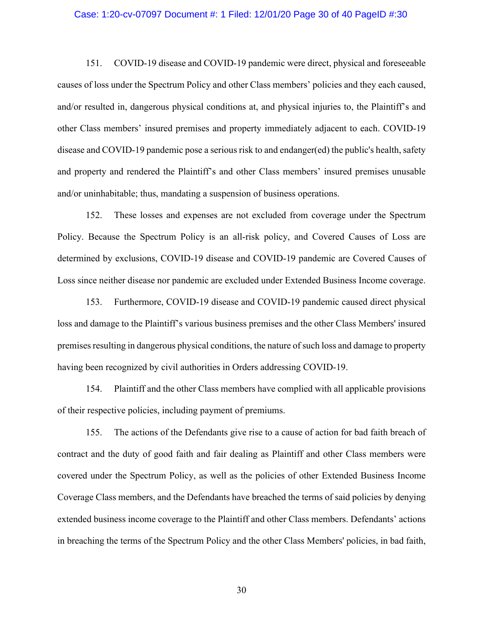#### Case: 1:20-cv-07097 Document #: 1 Filed: 12/01/20 Page 30 of 40 PageID #:30

151. COVID-19 disease and COVID-19 pandemic were direct, physical and foreseeable causes of loss under the Spectrum Policy and other Class members' policies and they each caused, and/or resulted in, dangerous physical conditions at, and physical injuries to, the Plaintiff's and other Class members' insured premises and property immediately adjacent to each. COVID-19 disease and COVID-19 pandemic pose a serious risk to and endanger(ed) the public's health, safety and property and rendered the Plaintiff's and other Class members' insured premises unusable and/or uninhabitable; thus, mandating a suspension of business operations.

152. These losses and expenses are not excluded from coverage under the Spectrum Policy. Because the Spectrum Policy is an all-risk policy, and Covered Causes of Loss are determined by exclusions, COVID-19 disease and COVID-19 pandemic are Covered Causes of Loss since neither disease nor pandemic are excluded under Extended Business Income coverage.

153. Furthermore, COVID-19 disease and COVID-19 pandemic caused direct physical loss and damage to the Plaintiff's various business premises and the other Class Members' insured premises resulting in dangerous physical conditions, the nature of such loss and damage to property having been recognized by civil authorities in Orders addressing COVID-19.

154. Plaintiff and the other Class members have complied with all applicable provisions of their respective policies, including payment of premiums.

155. The actions of the Defendants give rise to a cause of action for bad faith breach of contract and the duty of good faith and fair dealing as Plaintiff and other Class members were covered under the Spectrum Policy, as well as the policies of other Extended Business Income Coverage Class members, and the Defendants have breached the terms of said policies by denying extended business income coverage to the Plaintiff and other Class members. Defendants' actions in breaching the terms of the Spectrum Policy and the other Class Members' policies, in bad faith,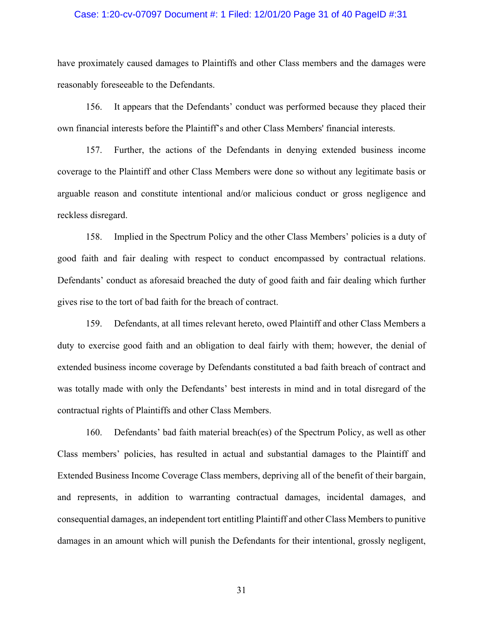### Case: 1:20-cv-07097 Document #: 1 Filed: 12/01/20 Page 31 of 40 PageID #:31

have proximately caused damages to Plaintiffs and other Class members and the damages were reasonably foreseeable to the Defendants.

156. It appears that the Defendants' conduct was performed because they placed their own financial interests before the Plaintiff's and other Class Members' financial interests.

157. Further, the actions of the Defendants in denying extended business income coverage to the Plaintiff and other Class Members were done so without any legitimate basis or arguable reason and constitute intentional and/or malicious conduct or gross negligence and reckless disregard.

158. Implied in the Spectrum Policy and the other Class Members' policies is a duty of good faith and fair dealing with respect to conduct encompassed by contractual relations. Defendants' conduct as aforesaid breached the duty of good faith and fair dealing which further gives rise to the tort of bad faith for the breach of contract.

159. Defendants, at all times relevant hereto, owed Plaintiff and other Class Members a duty to exercise good faith and an obligation to deal fairly with them; however, the denial of extended business income coverage by Defendants constituted a bad faith breach of contract and was totally made with only the Defendants' best interests in mind and in total disregard of the contractual rights of Plaintiffs and other Class Members.

160. Defendants' bad faith material breach(es) of the Spectrum Policy, as well as other Class members' policies, has resulted in actual and substantial damages to the Plaintiff and Extended Business Income Coverage Class members, depriving all of the benefit of their bargain, and represents, in addition to warranting contractual damages, incidental damages, and consequential damages, an independent tort entitling Plaintiff and other Class Members to punitive damages in an amount which will punish the Defendants for their intentional, grossly negligent,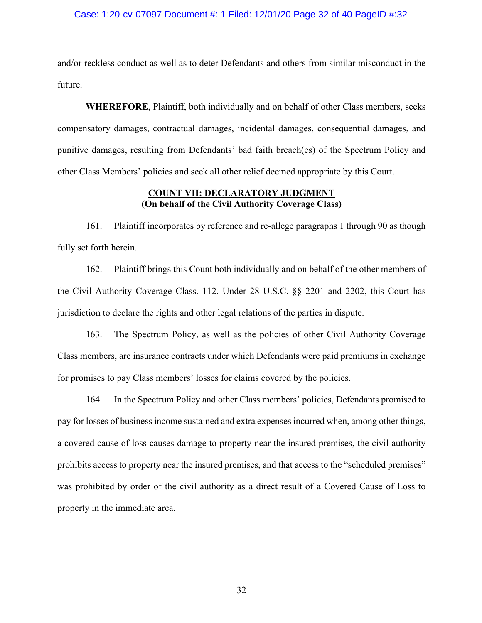### Case: 1:20-cv-07097 Document #: 1 Filed: 12/01/20 Page 32 of 40 PageID #:32

and/or reckless conduct as well as to deter Defendants and others from similar misconduct in the future.

**WHEREFORE**, Plaintiff, both individually and on behalf of other Class members, seeks compensatory damages, contractual damages, incidental damages, consequential damages, and punitive damages, resulting from Defendants' bad faith breach(es) of the Spectrum Policy and other Class Members' policies and seek all other relief deemed appropriate by this Court.

### **COUNT VII: DECLARATORY JUDGMENT (On behalf of the Civil Authority Coverage Class)**

161. Plaintiff incorporates by reference and re-allege paragraphs 1 through 90 as though fully set forth herein.

162. Plaintiff brings this Count both individually and on behalf of the other members of the Civil Authority Coverage Class. 112. Under 28 U.S.C. §§ 2201 and 2202, this Court has jurisdiction to declare the rights and other legal relations of the parties in dispute.

163. The Spectrum Policy, as well as the policies of other Civil Authority Coverage Class members, are insurance contracts under which Defendants were paid premiums in exchange for promises to pay Class members' losses for claims covered by the policies.

164. In the Spectrum Policy and other Class members' policies, Defendants promised to pay for losses of business income sustained and extra expenses incurred when, among other things, a covered cause of loss causes damage to property near the insured premises, the civil authority prohibits access to property near the insured premises, and that access to the "scheduled premises" was prohibited by order of the civil authority as a direct result of a Covered Cause of Loss to property in the immediate area.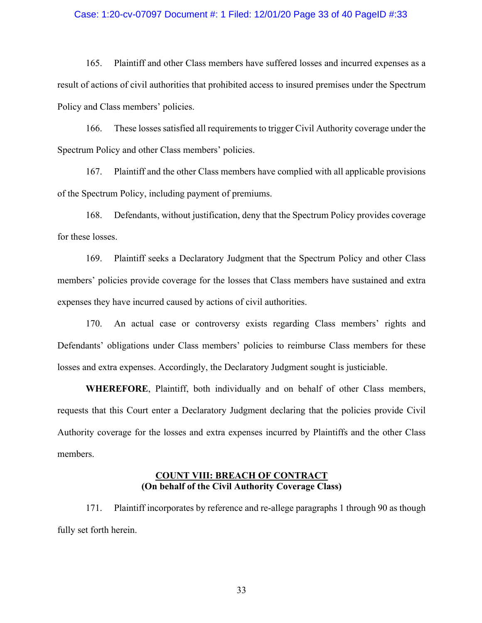### Case: 1:20-cv-07097 Document #: 1 Filed: 12/01/20 Page 33 of 40 PageID #:33

165. Plaintiff and other Class members have suffered losses and incurred expenses as a result of actions of civil authorities that prohibited access to insured premises under the Spectrum Policy and Class members' policies.

166. These losses satisfied all requirements to trigger Civil Authority coverage under the Spectrum Policy and other Class members' policies.

167. Plaintiff and the other Class members have complied with all applicable provisions of the Spectrum Policy, including payment of premiums.

168. Defendants, without justification, deny that the Spectrum Policy provides coverage for these losses.

169. Plaintiff seeks a Declaratory Judgment that the Spectrum Policy and other Class members' policies provide coverage for the losses that Class members have sustained and extra expenses they have incurred caused by actions of civil authorities.

170. An actual case or controversy exists regarding Class members' rights and Defendants' obligations under Class members' policies to reimburse Class members for these losses and extra expenses. Accordingly, the Declaratory Judgment sought is justiciable.

**WHEREFORE**, Plaintiff, both individually and on behalf of other Class members, requests that this Court enter a Declaratory Judgment declaring that the policies provide Civil Authority coverage for the losses and extra expenses incurred by Plaintiffs and the other Class members.

### **COUNT VIII: BREACH OF CONTRACT (On behalf of the Civil Authority Coverage Class)**

171. Plaintiff incorporates by reference and re-allege paragraphs 1 through 90 as though fully set forth herein.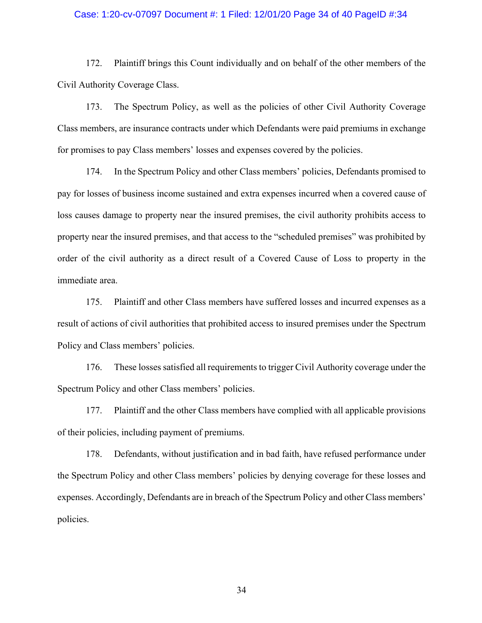### Case: 1:20-cv-07097 Document #: 1 Filed: 12/01/20 Page 34 of 40 PageID #:34

172. Plaintiff brings this Count individually and on behalf of the other members of the Civil Authority Coverage Class.

173. The Spectrum Policy, as well as the policies of other Civil Authority Coverage Class members, are insurance contracts under which Defendants were paid premiums in exchange for promises to pay Class members' losses and expenses covered by the policies.

174. In the Spectrum Policy and other Class members' policies, Defendants promised to pay for losses of business income sustained and extra expenses incurred when a covered cause of loss causes damage to property near the insured premises, the civil authority prohibits access to property near the insured premises, and that access to the "scheduled premises" was prohibited by order of the civil authority as a direct result of a Covered Cause of Loss to property in the immediate area.

175. Plaintiff and other Class members have suffered losses and incurred expenses as a result of actions of civil authorities that prohibited access to insured premises under the Spectrum Policy and Class members' policies.

176. These losses satisfied all requirements to trigger Civil Authority coverage under the Spectrum Policy and other Class members' policies.

177. Plaintiff and the other Class members have complied with all applicable provisions of their policies, including payment of premiums.

178. Defendants, without justification and in bad faith, have refused performance under the Spectrum Policy and other Class members' policies by denying coverage for these losses and expenses. Accordingly, Defendants are in breach of the Spectrum Policy and other Class members' policies.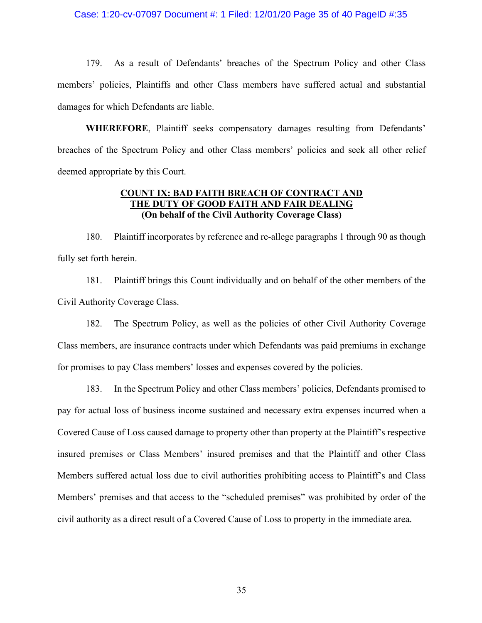### Case: 1:20-cv-07097 Document #: 1 Filed: 12/01/20 Page 35 of 40 PageID #:35

179. As a result of Defendants' breaches of the Spectrum Policy and other Class members' policies, Plaintiffs and other Class members have suffered actual and substantial damages for which Defendants are liable.

**WHEREFORE**, Plaintiff seeks compensatory damages resulting from Defendants' breaches of the Spectrum Policy and other Class members' policies and seek all other relief deemed appropriate by this Court.

# **COUNT IX: BAD FAITH BREACH OF CONTRACT AND THE DUTY OF GOOD FAITH AND FAIR DEALING (On behalf of the Civil Authority Coverage Class)**

180. Plaintiff incorporates by reference and re-allege paragraphs 1 through 90 as though fully set forth herein.

181. Plaintiff brings this Count individually and on behalf of the other members of the Civil Authority Coverage Class.

182. The Spectrum Policy, as well as the policies of other Civil Authority Coverage Class members, are insurance contracts under which Defendants was paid premiums in exchange for promises to pay Class members' losses and expenses covered by the policies.

183. In the Spectrum Policy and other Class members' policies, Defendants promised to pay for actual loss of business income sustained and necessary extra expenses incurred when a Covered Cause of Loss caused damage to property other than property at the Plaintiff's respective insured premises or Class Members' insured premises and that the Plaintiff and other Class Members suffered actual loss due to civil authorities prohibiting access to Plaintiff's and Class Members' premises and that access to the "scheduled premises" was prohibited by order of the civil authority as a direct result of a Covered Cause of Loss to property in the immediate area.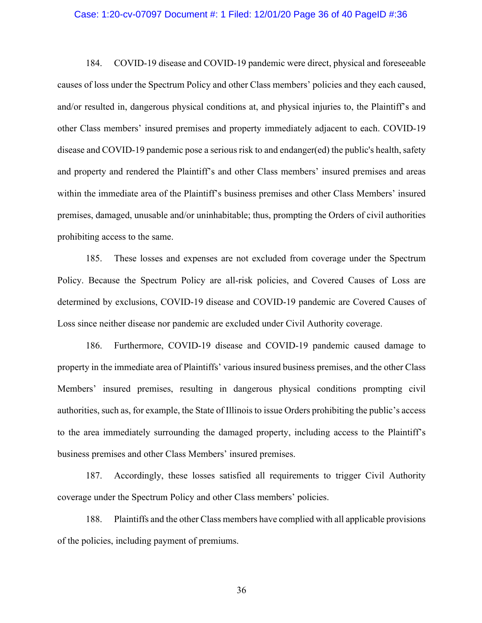#### Case: 1:20-cv-07097 Document #: 1 Filed: 12/01/20 Page 36 of 40 PageID #:36

184. COVID-19 disease and COVID-19 pandemic were direct, physical and foreseeable causes of loss under the Spectrum Policy and other Class members' policies and they each caused, and/or resulted in, dangerous physical conditions at, and physical injuries to, the Plaintiff's and other Class members' insured premises and property immediately adjacent to each. COVID-19 disease and COVID-19 pandemic pose a serious risk to and endanger(ed) the public's health, safety and property and rendered the Plaintiff's and other Class members' insured premises and areas within the immediate area of the Plaintiff's business premises and other Class Members' insured premises, damaged, unusable and/or uninhabitable; thus, prompting the Orders of civil authorities prohibiting access to the same.

185. These losses and expenses are not excluded from coverage under the Spectrum Policy. Because the Spectrum Policy are all-risk policies, and Covered Causes of Loss are determined by exclusions, COVID-19 disease and COVID-19 pandemic are Covered Causes of Loss since neither disease nor pandemic are excluded under Civil Authority coverage.

186. Furthermore, COVID-19 disease and COVID-19 pandemic caused damage to property in the immediate area of Plaintiffs' various insured business premises, and the other Class Members' insured premises, resulting in dangerous physical conditions prompting civil authorities, such as, for example, the State of Illinois to issue Orders prohibiting the public's access to the area immediately surrounding the damaged property, including access to the Plaintiff's business premises and other Class Members' insured premises.

187. Accordingly, these losses satisfied all requirements to trigger Civil Authority coverage under the Spectrum Policy and other Class members' policies.

188. Plaintiffs and the other Class members have complied with all applicable provisions of the policies, including payment of premiums.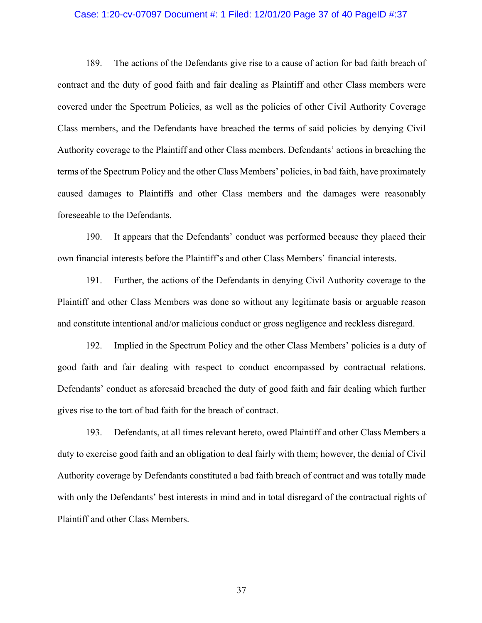### Case: 1:20-cv-07097 Document #: 1 Filed: 12/01/20 Page 37 of 40 PageID #:37

189. The actions of the Defendants give rise to a cause of action for bad faith breach of contract and the duty of good faith and fair dealing as Plaintiff and other Class members were covered under the Spectrum Policies, as well as the policies of other Civil Authority Coverage Class members, and the Defendants have breached the terms of said policies by denying Civil Authority coverage to the Plaintiff and other Class members. Defendants' actions in breaching the terms of the Spectrum Policy and the other Class Members' policies, in bad faith, have proximately caused damages to Plaintiffs and other Class members and the damages were reasonably foreseeable to the Defendants.

190. It appears that the Defendants' conduct was performed because they placed their own financial interests before the Plaintiff's and other Class Members' financial interests.

191. Further, the actions of the Defendants in denying Civil Authority coverage to the Plaintiff and other Class Members was done so without any legitimate basis or arguable reason and constitute intentional and/or malicious conduct or gross negligence and reckless disregard.

192. Implied in the Spectrum Policy and the other Class Members' policies is a duty of good faith and fair dealing with respect to conduct encompassed by contractual relations. Defendants' conduct as aforesaid breached the duty of good faith and fair dealing which further gives rise to the tort of bad faith for the breach of contract.

193. Defendants, at all times relevant hereto, owed Plaintiff and other Class Members a duty to exercise good faith and an obligation to deal fairly with them; however, the denial of Civil Authority coverage by Defendants constituted a bad faith breach of contract and was totally made with only the Defendants' best interests in mind and in total disregard of the contractual rights of Plaintiff and other Class Members.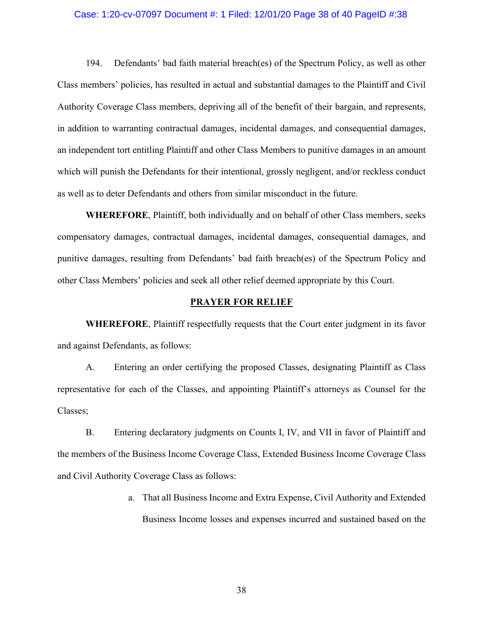#### Case: 1:20-cv-07097 Document #: 1 Filed: 12/01/20 Page 38 of 40 PageID #:38

194. Defendants' bad faith material breach(es) of the Spectrum Policy, as well as other Class members' policies, has resulted in actual and substantial damages to the Plaintiff and Civil Authority Coverage Class members, depriving all of the benefit of their bargain, and represents, in addition to warranting contractual damages, incidental damages, and consequential damages, an independent tort entitling Plaintiff and other Class Members to punitive damages in an amount which will punish the Defendants for their intentional, grossly negligent, and/or reckless conduct as well as to deter Defendants and others from similar misconduct in the future.

**WHEREFORE**, Plaintiff, both individually and on behalf of other Class members, seeks compensatory damages, contractual damages, incidental damages, consequential damages, and punitive damages, resulting from Defendants' bad faith breach(es) of the Spectrum Policy and other Class Members' policies and seek all other relief deemed appropriate by this Court.

#### **PRAYER FOR RELIEF**

**WHEREFORE**, Plaintiff respectfully requests that the Court enter judgment in its favor and against Defendants, as follows:

A. Entering an order certifying the proposed Classes, designating Plaintiff as Class representative for each of the Classes, and appointing Plaintiff's attorneys as Counsel for the Classes;

B. Entering declaratory judgments on Counts I, IV, and VII in favor of Plaintiff and the members of the Business Income Coverage Class, Extended Business Income Coverage Class and Civil Authority Coverage Class as follows:

> a. That all Business Income and Extra Expense, Civil Authority and Extended Business Income losses and expenses incurred and sustained based on the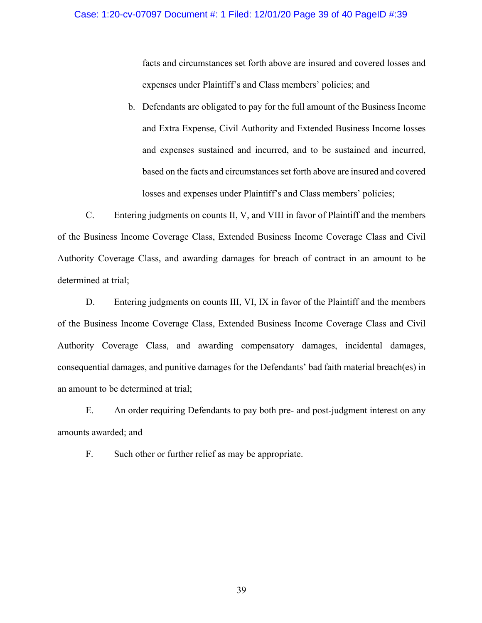### Case: 1:20-cv-07097 Document #: 1 Filed: 12/01/20 Page 39 of 40 PageID #:39

facts and circumstances set forth above are insured and covered losses and expenses under Plaintiff's and Class members' policies; and

b. Defendants are obligated to pay for the full amount of the Business Income and Extra Expense, Civil Authority and Extended Business Income losses and expenses sustained and incurred, and to be sustained and incurred, based on the facts and circumstances set forth above are insured and covered losses and expenses under Plaintiff's and Class members' policies;

C. Entering judgments on counts II, V, and VIII in favor of Plaintiff and the members of the Business Income Coverage Class, Extended Business Income Coverage Class and Civil Authority Coverage Class, and awarding damages for breach of contract in an amount to be determined at trial;

D. Entering judgments on counts III, VI, IX in favor of the Plaintiff and the members of the Business Income Coverage Class, Extended Business Income Coverage Class and Civil Authority Coverage Class, and awarding compensatory damages, incidental damages, consequential damages, and punitive damages for the Defendants' bad faith material breach(es) in an amount to be determined at trial;

E. An order requiring Defendants to pay both pre- and post-judgment interest on any amounts awarded; and

F. Such other or further relief as may be appropriate.